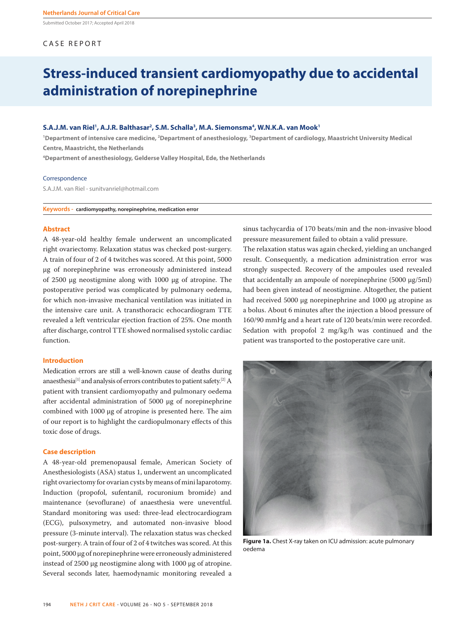Submitted October 2017; Accepted April 2018

# CASE REPORT

# **Stress-induced transient cardiomyopathy due to accidental administration of norepinephrine**

# **S.A.J.M. van Riel1 , A.J.R. Balthasar2 , S.M. Schalla3 , M.A. Siemonsma4 , W.N.K.A. van Mook1**

<sup>1</sup>Department of intensive care medicine, <sup>2</sup>Department of anesthesiology, <sup>3</sup>Department of cardiology, Maastricht University Medical **Centre, Maastricht, the Netherlands**

**4 Department of anesthesiology, Gelderse Valley Hospital, Ede, the Netherlands**

#### Correspondence

S.A.J.M. van Riel - sunitvanriel@hotmail.com

**Keywords - cardiomyopathy, norepinephrine, medication error**

#### **Abstract**

A 48-year-old healthy female underwent an uncomplicated right ovariectomy. Relaxation status was checked post-surgery. A train of four of 2 of 4 twitches was scored. At this point, 5000 μg of norepinephrine was erroneously administered instead of 2500 μg neostigmine along with 1000 μg of atropine. The postoperative period was complicated by pulmonary oedema, for which non-invasive mechanical ventilation was initiated in the intensive care unit. A transthoracic echocardiogram TTE revealed a left ventricular ejection fraction of 25%. One month after discharge, control TTE showed normalised systolic cardiac function.

# **Introduction**

Medication errors are still a well-known cause of deaths during anaesthesia[1] and analysis of errors contributes to patient safety.[2] A patient with transient cardiomyopathy and pulmonary oedema after accidental administration of 5000 μg of norepinephrine combined with 1000 μg of atropine is presented here. The aim of our report is to highlight the cardiopulmonary effects of this toxic dose of drugs.

### **Case description**

A 48-year-old premenopausal female, American Society of Anesthesiologists (ASA) status 1, underwent an uncomplicated right ovariectomy for ovarian cysts by means of mini laparotomy. Induction (propofol, sufentanil, rocuronium bromide) and maintenance (sevoflurane) of anaesthesia were uneventful. Standard monitoring was used: three-lead electrocardiogram (ECG), pulsoxymetry, and automated non-invasive blood pressure (3-minute interval). The relaxation status was checked post-surgery. A train of four of 2 of 4 twitches was scored. At this point, 5000 μg of norepinephrine were erroneously administered instead of 2500 μg neostigmine along with 1000 μg of atropine. Several seconds later, haemodynamic monitoring revealed a sinus tachycardia of 170 beats/min and the non-invasive blood pressure measurement failed to obtain a valid pressure.

The relaxation status was again checked, yielding an unchanged result. Consequently, a medication administration error was strongly suspected. Recovery of the ampoules used revealed that accidentally an ampoule of norepinephrine (5000 μg/5ml) had been given instead of neostigmine. Altogether, the patient had received 5000 μg norepinephrine and 1000 μg atropine as a bolus. About 6 minutes after the injection a blood pressure of 160/90 mmHg and a heart rate of 120 beats/min were recorded. Sedation with propofol 2 mg/kg/h was continued and the patient was transported to the postoperative care unit.



**Figure 1a.** Chest X-ray taken on ICU admission: acute pulmonary oedema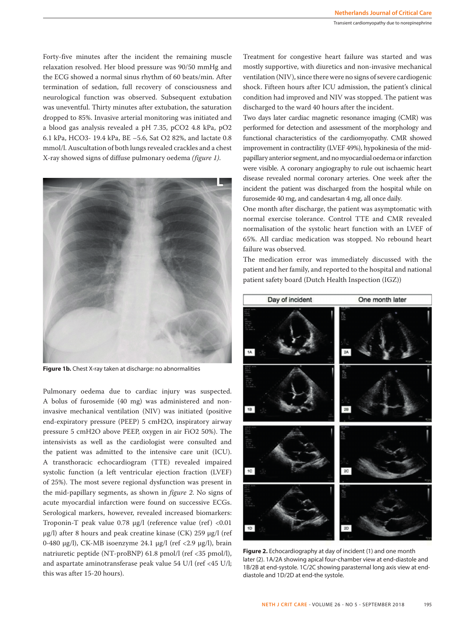Forty-five minutes after the incident the remaining muscle relaxation resolved. Her blood pressure was 90/50 mmHg and the ECG showed a normal sinus rhythm of 60 beats/min. After termination of sedation, full recovery of consciousness and neurological function was observed. Subsequent extubation was uneventful. Thirty minutes after extubation, the saturation dropped to 85%. Invasive arterial monitoring was initiated and a blood gas analysis revealed a pH 7.35, pCO2 4.8 kPa, pO2 6.1 kPa, HCO3- 19.4 kPa, BE –5.6, Sat O2 82%, and lactate 0.8 mmol/l. Auscultation of both lungs revealed crackles and a chest X-ray showed signs of diffuse pulmonary oedema *(figure 1)*.



**Figure 1b.** Chest X-ray taken at discharge: no abnormalities

Pulmonary oedema due to cardiac injury was suspected. A bolus of furosemide (40 mg) was administered and noninvasive mechanical ventilation (NIV) was initiated (positive end-expiratory pressure (PEEP) 5 cmH2O, inspiratory airway pressure 5 cmH2O above PEEP, oxygen in air FiO2 50%). The intensivists as well as the cardiologist were consulted and the patient was admitted to the intensive care unit (ICU). A transthoracic echocardiogram (TTE) revealed impaired systolic function (a left ventricular ejection fraction (LVEF) of 25%). The most severe regional dysfunction was present in the mid-papillary segments, as shown in *figure 2*. No signs of acute myocardial infarction were found on successive ECGs. Serological markers, however, revealed increased biomarkers: Troponin-T peak value 0.78 μg/l (reference value (ref) <0.01 μg/l) after 8 hours and peak creatine kinase (CK) 259 μg/l (ref 0-480 μg/l), CK-MB isoenzyme 24.1 μg/l (ref <2.9 μg/l), brain natriuretic peptide (NT-proBNP) 61.8 pmol/l (ref <35 pmol/l), and aspartate aminotransferase peak value 54 U/l (ref <45 U/l; this was after 15-20 hours).

Treatment for congestive heart failure was started and was mostly supportive, with diuretics and non-invasive mechanical ventilation (NIV), since there were no signs of severe cardiogenic shock. Fifteen hours after ICU admission, the patient's clinical condition had improved and NIV was stopped. The patient was discharged to the ward 40 hours after the incident.

Two days later cardiac magnetic resonance imaging (CMR) was performed for detection and assessment of the morphology and functional characteristics of the cardiomyopathy. CMR showed improvement in contractility (LVEF 49%), hypokinesia of the midpapillary anterior segment, and no myocardial oedema or infarction were visible. A coronary angiography to rule out ischaemic heart disease revealed normal coronary arteries. One week after the incident the patient was discharged from the hospital while on furosemide 40 mg, and candesartan 4 mg, all once daily.

One month after discharge, the patient was asymptomatic with normal exercise tolerance. Control TTE and CMR revealed normalisation of the systolic heart function with an LVEF of 65%. All cardiac medication was stopped. No rebound heart failure was observed.

The medication error was immediately discussed with the patient and her family, and reported to the hospital and national patient safety board (Dutch Health Inspection (IGZ))



**Figure 2.** Echocardiography at day of incident (1) and one month later (2). 1A/2A showing apical four-chamber view at end-diastole and 1B/2B at end-systole. 1C/2C showing parasternal long axis view at enddiastole and 1D/2D at end-the systole.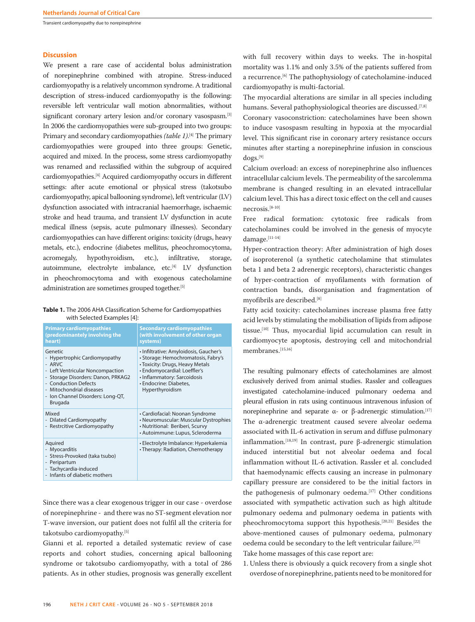Transient cardiomyopathy due to norepinephrine

# **Discussion**

We present a rare case of accidental bolus administration of norepinephrine combined with atropine. Stress-induced cardiomyopathy is a relatively uncommon syndrome. A traditional description of stress-induced cardiomyopathy is the following: reversible left ventricular wall motion abnormalities, without significant coronary artery lesion and/or coronary vasospasm.<sup>[3]</sup> In 2006 the cardiomyopathies were sub-grouped into two groups: Primary and secondary cardiomyopathies *(table 1)*. [4] The primary cardiomyopathies were grouped into three groups: Genetic, acquired and mixed. In the process, some stress cardiomyopathy was renamed and reclassified within the subgroup of acquired cardiomyopathies.[4] Acquired cardiomyopathy occurs in different settings: after acute emotional or physical stress (takotsubo cardiomyopathy, apical ballooning syndrome), left ventricular (LV) dysfunction associated with intracranial haemorrhage, ischaemic stroke and head trauma, and transient LV dysfunction in acute medical illness (sepsis, acute pulmonary illnesses). Secondary cardiomyopathies can have different origins: toxicity (drugs, heavy metals, etc.), endocrine (diabetes mellitus, pheochromocytoma, acromegaly, hypothyroidism, etc.), infiltrative, storage, autoimmune, electrolyte imbalance, etc.<sup>[4]</sup> LV dysfunction in pheochromocytoma and with exogenous catecholamine administration are sometimes grouped together.[5]

**Table 1.** The 2006 AHA Classification Scheme for Cardiomyopathies with Selected Examples [4]:

| <b>Primary cardiomyopathies</b><br>(predominantely involving the<br>heart)                                                                                                                                                         | <b>Secondary cardiomyopathies</b><br>(with involvement of other organ<br>systems)                                                                                                                                            |
|------------------------------------------------------------------------------------------------------------------------------------------------------------------------------------------------------------------------------------|------------------------------------------------------------------------------------------------------------------------------------------------------------------------------------------------------------------------------|
| Genetic<br>- Hypertrophic Cardiomyopathy<br>- $ARVC$<br>- Left Ventricular Noncompaction<br>- Storage Disorders: Danon, PRKAG2<br>- Conduction Defects<br>- Mitochondrial diseases<br>- Ion Channel Disorders: Long-QT,<br>Brugada | · Infiltrative: Amyloidosis, Gaucher's<br>· Storage: Hemochromatosis, Fabry's<br>• Toxicity: Drugs, Heavy Metals<br>· Endomyocardial: Loeffler's<br>· Inflammatory: Sarcoidosis<br>· Endocrine: Diabetes,<br>Hyperthyroidism |
| Mixed<br>- Dilated Cardiomyopathy<br>- Restrcitive Cardiomyopathy                                                                                                                                                                  | • Cardiofacial: Noonan Syndrome<br>• Neuromuscular: Muscular Dystrophies<br>· Nutritional: Beriberi, Scurvy<br>· Autoimmune: Lupus, Scleroderma                                                                              |
| Aquired<br>- Myocarditis<br>- Stress-Provoked (taka tsubo)<br>- Peripartum<br>- Tachycardia-induced<br>- Infants of diabetic mothers                                                                                               | • Electrolyte Imbalance: Hyperkalemia<br>• Therapy: Radiation, Chemotherapy                                                                                                                                                  |

Since there was a clear exogenous trigger in our case - overdose of norepinephrine - and there was no ST-segment elevation nor T-wave inversion, our patient does not fulfil all the criteria for takotsubo cardiomyopathy.[5]

Gianni et al. reported a detailed systematic review of case reports and cohort studies, concerning apical ballooning syndrome or takotsubo cardiomyopathy, with a total of 286 patients. As in other studies, prognosis was generally excellent with full recovery within days to weeks. The in-hospital mortality was 1.1% and only 3.5% of the patients suffered from a recurrence.<sup>[6]</sup> The pathophysiology of catecholamine-induced cardiomyopathy is multi-factorial.

The myocardial alterations are similar in all species including humans. Several pathophysiological theories are discussed.<sup>[7,8]</sup>

Coronary vasoconstriction: catecholamines have been shown to induce vasospasm resulting in hypoxia at the myocardial level. This significant rise in coronary artery resistance occurs minutes after starting a norepinephrine infusion in conscious dogs.[9]

Calcium overload: an excess of norepinephrine also influences intracellular calcium levels. The permeability of the sarcolemma membrane is changed resulting in an elevated intracellular calcium level. This has a direct toxic effect on the cell and causes necrosis.[8-10]

Free radical formation: cytotoxic free radicals from catecholamines could be involved in the genesis of myocyte damage.[11-14]

Hyper-contraction theory: After administration of high doses of isoproterenol (a synthetic catecholamine that stimulates beta 1 and beta 2 adrenergic receptors), characteristic changes of hyper-contraction of myofilaments with formation of contraction bands, disorganisation and fragmentation of myofibrils are described.[8]

Fatty acid toxicity: catecholamines increase plasma free fatty acid levels by stimulating the mobilisation of lipids from adipose tissue.<sup>[10]</sup> Thus, myocardial lipid accumulation can result in cardiomyocyte apoptosis, destroying cell and mitochondrial membranes.[15,16]

The resulting pulmonary effects of catecholamines are almost exclusively derived from animal studies. Rassler and colleagues investigated catecholamine-induced pulmonary oedema and pleural effusion in rats using continuous intravenous infusion of norepinephrine and separate α- or β-adrenergic stimulation.<sup>[17]</sup> The α-adrenergic treatment caused severe alveolar oedema associated with IL-6 activation in serum and diffuse pulmonary inflammation.<sup>[18,19]</sup> In contrast, pure β-adrenergic stimulation induced interstitial but not alveolar oedema and focal inflammation without IL-6 activation. Rassler et al. concluded that haemodynamic effects causing an increase in pulmonary capillary pressure are considered to be the initial factors in the pathogenesis of pulmonary oedema.<sup>[17]</sup> Other conditions associated with sympathetic activation such as high altitude pulmonary oedema and pulmonary oedema in patients with pheochromocytoma support this hypothesis.[20,21] Besides the above-mentioned causes of pulmonary oedema, pulmonary oedema could be secondary to the left ventricular failure.<sup>[22]</sup> Take home massages of this case report are:

1. Unless there is obviously a quick recovery from a single shot overdose of norepinephrine, patients need to be monitored for